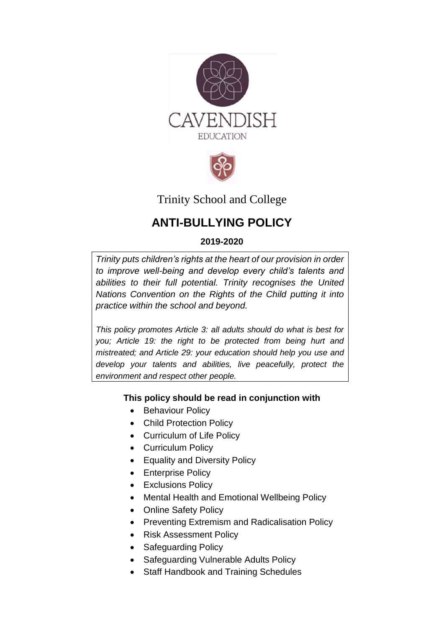



# Trinity School and College

# **ANTI-BULLYING POLICY**

## **2019-2020**

*Trinity puts [children's rights](http://www.unicef.org.uk/rights-respecting-schools/about-the-award/child-rights-in-schools/) at the heart of our provision in order to improve well-being and develop every child's talents and abilities to their full potential. Trinity recognises the [United](http://www.unicef.org.uk/UNICEFs-Work/UN-Convention/)  [Nations Convention on the Rights of the Child](http://www.unicef.org.uk/UNICEFs-Work/UN-Convention/) putting it into practice within the school and beyond.*

*This policy promotes Article 3: all adults should do what is best for you; Article 19: the right to be protected from being hurt and mistreated; and Article 29: your education should help you use and develop your talents and abilities, live peacefully, protect the environment and respect other people.*

## **This policy should be read in conjunction with**

- Behaviour Policy
- Child Protection Policy
- Curriculum of Life Policy
- Curriculum Policy
- Equality and Diversity Policy
- Enterprise Policy
- Exclusions Policy
- Mental Health and Emotional Wellbeing Policy
- Online Safety Policy
- Preventing Extremism and Radicalisation Policy
- Risk Assessment Policy
- Safeguarding Policy
- Safeguarding Vulnerable Adults Policy
- Staff Handbook and Training Schedules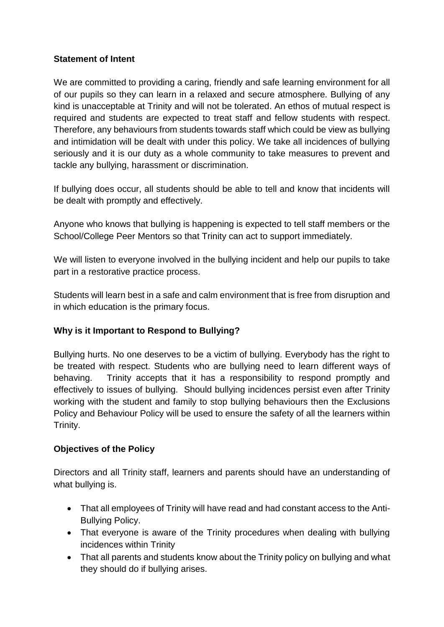## **Statement of Intent**

We are committed to providing a caring, friendly and safe learning environment for all of our pupils so they can learn in a relaxed and secure atmosphere. Bullying of any kind is unacceptable at Trinity and will not be tolerated. An ethos of mutual respect is required and students are expected to treat staff and fellow students with respect. Therefore, any behaviours from students towards staff which could be view as bullying and intimidation will be dealt with under this policy. We take all incidences of bullying seriously and it is our duty as a whole community to take measures to prevent and tackle any bullying, harassment or discrimination.

If bullying does occur, all students should be able to tell and know that incidents will be dealt with promptly and effectively.

Anyone who knows that bullying is happening is expected to tell staff members or the School/College Peer Mentors so that Trinity can act to support immediately.

We will listen to everyone involved in the bullying incident and help our pupils to take part in a restorative practice process.

Students will learn best in a safe and calm environment that is free from disruption and in which education is the primary focus.

## **Why is it Important to Respond to Bullying?**

Bullying hurts. No one deserves to be a victim of bullying. Everybody has the right to be treated with respect. Students who are bullying need to learn different ways of behaving. Trinity accepts that it has a responsibility to respond promptly and effectively to issues of bullying. Should bullying incidences persist even after Trinity working with the student and family to stop bullying behaviours then the Exclusions Policy and Behaviour Policy will be used to ensure the safety of all the learners within Trinity.

## **Objectives of the Policy**

Directors and all Trinity staff, learners and parents should have an understanding of what bullying is.

- That all employees of Trinity will have read and had constant access to the Anti-Bullying Policy.
- That everyone is aware of the Trinity procedures when dealing with bullying incidences within Trinity
- That all parents and students know about the Trinity policy on bullying and what they should do if bullying arises.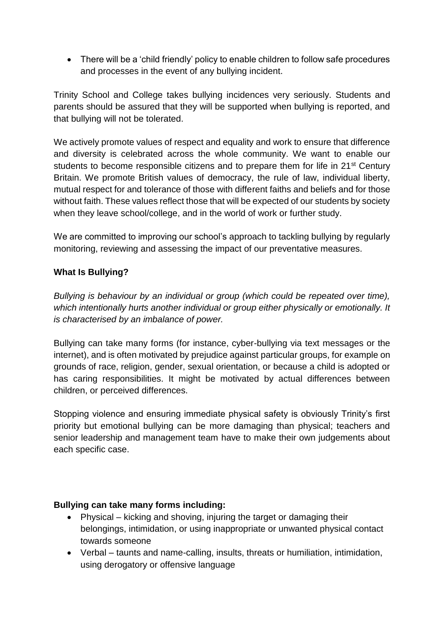There will be a 'child friendly' policy to enable children to follow safe procedures and processes in the event of any bullying incident.

Trinity School and College takes bullying incidences very seriously. Students and parents should be assured that they will be supported when bullying is reported, and that bullying will not be tolerated.

We actively promote values of respect and equality and work to ensure that difference and diversity is celebrated across the whole community. We want to enable our students to become responsible citizens and to prepare them for life in 21<sup>st</sup> Century Britain. We promote British values of democracy, the rule of law, individual liberty, mutual respect for and tolerance of those with different faiths and beliefs and for those without faith. These values reflect those that will be expected of our students by society when they leave school/college, and in the world of work or further study.

We are committed to improving our school's approach to tackling bullying by regularly monitoring, reviewing and assessing the impact of our preventative measures.

## **What Is Bullying?**

*Bullying is behaviour by an individual or group (which could be repeated over time), which intentionally hurts another individual or group either physically or emotionally. It is characterised by an imbalance of power.*

Bullying can take many forms (for instance, cyber-bullying via text messages or the internet), and is often motivated by prejudice against particular groups, for example on grounds of race, religion, gender, sexual orientation, or because a child is adopted or has caring responsibilities. It might be motivated by actual differences between children, or perceived differences.

Stopping violence and ensuring immediate physical safety is obviously Trinity's first priority but emotional bullying can be more damaging than physical; teachers and senior leadership and management team have to make their own judgements about each specific case.

## **Bullying can take many forms including:**

- Physical kicking and shoving, injuring the target or damaging their belongings, intimidation, or using inappropriate or unwanted physical contact towards someone
- Verbal taunts and name-calling, insults, threats or humiliation, intimidation, using derogatory or offensive language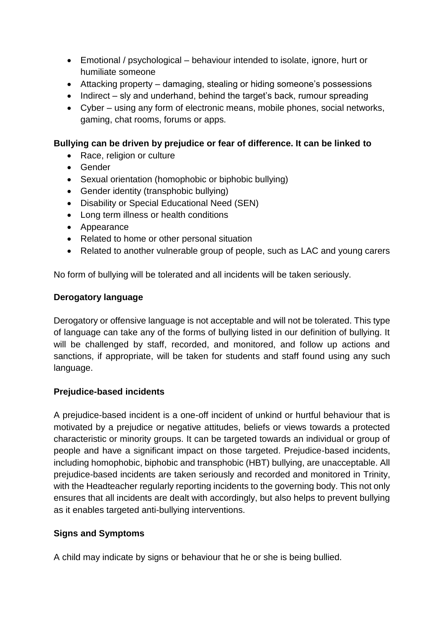- Emotional / psychological behaviour intended to isolate, ignore, hurt or humiliate someone
- Attacking property damaging, stealing or hiding someone's possessions
- $\bullet$  Indirect sly and underhand, behind the target's back, rumour spreading
- Cyber using any form of electronic means, mobile phones, social networks, gaming, chat rooms, forums or apps.

#### **Bullying can be driven by prejudice or fear of difference. It can be linked to**

- Race, religion or culture
- Gender
- Sexual orientation (homophobic or biphobic bullying)
- Gender identity (transphobic bullying)
- Disability or Special Educational Need (SEN)
- Long term illness or health conditions
- Appearance
- Related to home or other personal situation
- Related to another vulnerable group of people, such as LAC and young carers

No form of bullying will be tolerated and all incidents will be taken seriously.

#### **Derogatory language**

Derogatory or offensive language is not acceptable and will not be tolerated. This type of language can take any of the forms of bullying listed in our definition of bullying. It will be challenged by staff, recorded, and monitored, and follow up actions and sanctions, if appropriate, will be taken for students and staff found using any such language.

## **Prejudice-based incidents**

A prejudice-based incident is a one-off incident of unkind or hurtful behaviour that is motivated by a prejudice or negative attitudes, beliefs or views towards a protected characteristic or minority groups. It can be targeted towards an individual or group of people and have a significant impact on those targeted. Prejudice-based incidents, including homophobic, biphobic and transphobic (HBT) bullying, are unacceptable. All prejudice-based incidents are taken seriously and recorded and monitored in Trinity, with the Headteacher regularly reporting incidents to the governing body. This not only ensures that all incidents are dealt with accordingly, but also helps to prevent bullying as it enables targeted anti-bullying interventions.

## **Signs and Symptoms**

A child may indicate by signs or behaviour that he or she is being bullied.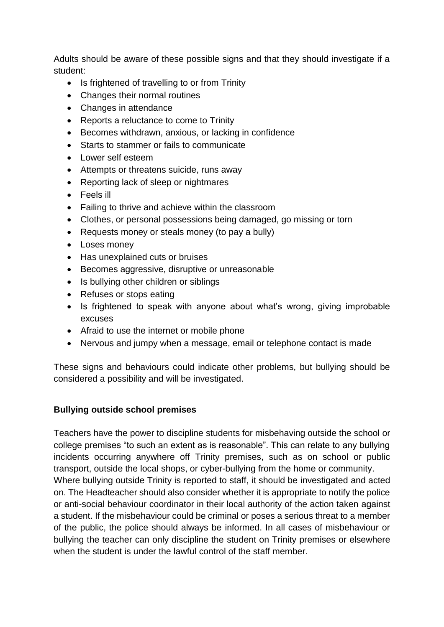Adults should be aware of these possible signs and that they should investigate if a student:

- Is frightened of travelling to or from Trinity
- Changes their normal routines
- Changes in attendance
- Reports a reluctance to come to Trinity
- Becomes withdrawn, anxious, or lacking in confidence
- Starts to stammer or fails to communicate
- Lower self esteem
- Attempts or threatens suicide, runs away
- Reporting lack of sleep or nightmares
- Feels ill
- Failing to thrive and achieve within the classroom
- Clothes, or personal possessions being damaged, go missing or torn
- Requests money or steals money (to pay a bully)
- Loses money
- Has unexplained cuts or bruises
- Becomes aggressive, disruptive or unreasonable
- Is bullying other children or siblings
- Refuses or stops eating
- Is frightened to speak with anyone about what's wrong, giving improbable excuses
- Afraid to use the internet or mobile phone
- Nervous and jumpy when a message, email or telephone contact is made

These signs and behaviours could indicate other problems, but bullying should be considered a possibility and will be investigated.

## **Bullying outside school premises**

Teachers have the power to discipline students for misbehaving outside the school or college premises "to such an extent as is reasonable". This can relate to any bullying incidents occurring anywhere off Trinity premises, such as on school or public transport, outside the local shops, or cyber-bullying from the home or community. Where bullying outside Trinity is reported to staff, it should be investigated and acted on. The Headteacher should also consider whether it is appropriate to notify the police or anti-social behaviour coordinator in their local authority of the action taken against a student. If the misbehaviour could be criminal or poses a serious threat to a member of the public, the police should always be informed. In all cases of misbehaviour or bullying the teacher can only discipline the student on Trinity premises or elsewhere when the student is under the lawful control of the staff member.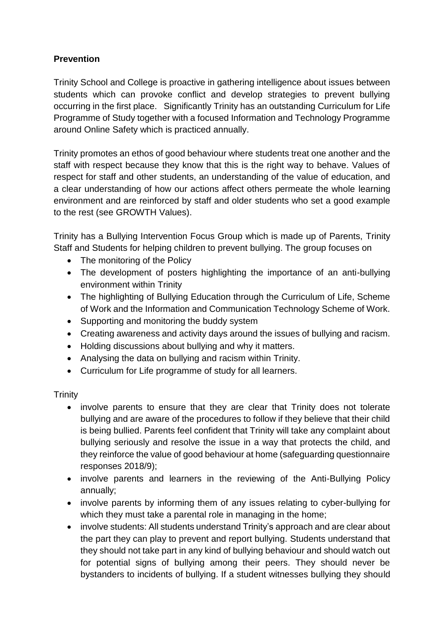## **Prevention**

Trinity School and College is proactive in gathering intelligence about issues between students which can provoke conflict and develop strategies to prevent bullying occurring in the first place. Significantly Trinity has an outstanding Curriculum for Life Programme of Study together with a focused Information and Technology Programme around Online Safety which is practiced annually.

Trinity promotes an ethos of good behaviour where students treat one another and the staff with respect because they know that this is the right way to behave. Values of respect for staff and other students, an understanding of the value of education, and a clear understanding of how our actions affect others permeate the whole learning environment and are reinforced by staff and older students who set a good example to the rest (see GROWTH Values).

Trinity has a Bullying Intervention Focus Group which is made up of Parents, Trinity Staff and Students for helping children to prevent bullying. The group focuses on

- The monitoring of the Policy
- The development of posters highlighting the importance of an anti-bullying environment within Trinity
- The highlighting of Bullying Education through the Curriculum of Life, Scheme of Work and the Information and Communication Technology Scheme of Work.
- Supporting and monitoring the buddy system
- Creating awareness and activity days around the issues of bullying and racism.
- Holding discussions about bullying and why it matters.
- Analysing the data on bullying and racism within Trinity.
- Curriculum for Life programme of study for all learners.

**Trinity** 

- involve parents to ensure that they are clear that Trinity does not tolerate bullying and are aware of the procedures to follow if they believe that their child is being bullied. Parents feel confident that Trinity will take any complaint about bullying seriously and resolve the issue in a way that protects the child, and they reinforce the value of good behaviour at home (safeguarding questionnaire responses 2018/9);
- involve parents and learners in the reviewing of the Anti-Bullying Policy annually;
- involve parents by informing them of any issues relating to cyber-bullying for which they must take a parental role in managing in the home;
- involve students: All students understand Trinity's approach and are clear about the part they can play to prevent and report bullying. Students understand that they should not take part in any kind of bullying behaviour and should watch out for potential signs of bullying among their peers. They should never be bystanders to incidents of bullying. If a student witnesses bullying they should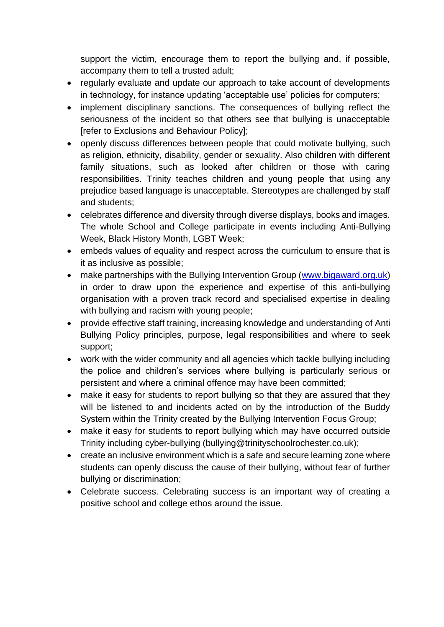support the victim, encourage them to report the bullying and, if possible, accompany them to tell a trusted adult;

- regularly evaluate and update our approach to take account of developments in technology, for instance updating 'acceptable use' policies for computers;
- implement disciplinary sanctions. The consequences of bullying reflect the seriousness of the incident so that others see that bullying is unacceptable [refer to Exclusions and Behaviour Policy];
- openly discuss differences between people that could motivate bullying, such as religion, ethnicity, disability, gender or sexuality. Also children with different family situations, such as looked after children or those with caring responsibilities. Trinity teaches children and young people that using any prejudice based language is unacceptable. Stereotypes are challenged by staff and students;
- celebrates difference and diversity through diverse displays, books and images. The whole School and College participate in events including Anti-Bullying Week, Black History Month, LGBT Week;
- embeds values of equality and respect across the curriculum to ensure that is it as inclusive as possible;
- make partnerships with the Bullying Intervention Group [\(www.bigaward.org.uk\)](http://www.bigaward.org.uk/) in order to draw upon the experience and expertise of this anti-bullying organisation with a proven track record and specialised expertise in dealing with bullying and racism with young people;
- provide effective staff training, increasing knowledge and understanding of Anti Bullying Policy principles, purpose, legal responsibilities and where to seek support;
- work with the wider community and all agencies which tackle bullying including the police and children's services where bullying is particularly serious or persistent and where a criminal offence may have been committed;
- make it easy for students to report bullying so that they are assured that they will be listened to and incidents acted on by the introduction of the Buddy System within the Trinity created by the Bullying Intervention Focus Group;
- make it easy for students to report bullying which may have occurred outside Trinity including cyber-bullying (bullying@trinityschoolrochester.co.uk);
- create an inclusive environment which is a safe and secure learning zone where students can openly discuss the cause of their bullying, without fear of further bullying or discrimination;
- Celebrate success. Celebrating success is an important way of creating a positive school and college ethos around the issue.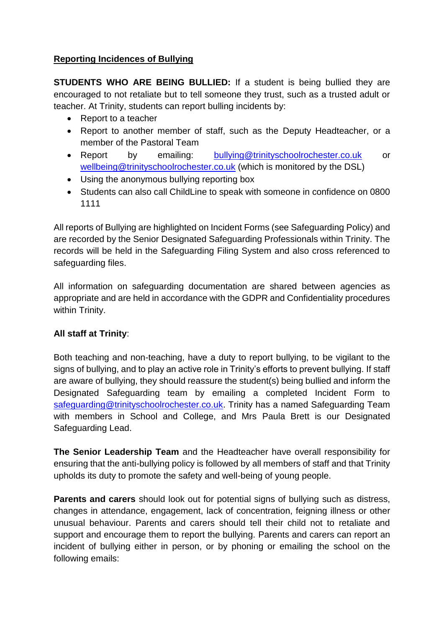## **Reporting Incidences of Bullying**

**STUDENTS WHO ARE BEING BULLIED:** If a student is being bullied they are encouraged to not retaliate but to tell someone they trust, such as a trusted adult or teacher. At Trinity, students can report bulling incidents by:

- Report to a teacher
- Report to another member of staff, such as the Deputy Headteacher, or a member of the Pastoral Team
- Report by emailing: [bullying@trinityschoolrochester.co.uk](mailto:bullying@trinityschoolrochester.co.uk) or [wellbeing@trinityschoolrochester.co.uk](mailto:wellbeing@trinityschoolrochester.co.uk) (which is monitored by the DSL)
- Using the anonymous bullying reporting box
- Students can also call ChildLine to speak with someone in confidence on 0800 1111

All reports of Bullying are highlighted on Incident Forms (see Safeguarding Policy) and are recorded by the Senior Designated Safeguarding Professionals within Trinity. The records will be held in the Safeguarding Filing System and also cross referenced to safeguarding files.

All information on safeguarding documentation are shared between agencies as appropriate and are held in accordance with the GDPR and Confidentiality procedures within Trinity.

## **All staff at Trinity**:

Both teaching and non-teaching, have a duty to report bullying, to be vigilant to the signs of bullying, and to play an active role in Trinity's efforts to prevent bullying. If staff are aware of bullying, they should reassure the student(s) being bullied and inform the Designated Safeguarding team by emailing a completed Incident Form to [safeguarding@trinityschoolrochester.co.uk.](mailto:safeguarding@trinityschoolrochester.co.uk) Trinity has a named Safeguarding Team with members in School and College, and Mrs Paula Brett is our Designated Safeguarding Lead.

**The Senior Leadership Team** and the Headteacher have overall responsibility for ensuring that the anti-bullying policy is followed by all members of staff and that Trinity upholds its duty to promote the safety and well-being of young people.

**Parents and carers** should look out for potential signs of bullying such as distress, changes in attendance, engagement, lack of concentration, feigning illness or other unusual behaviour. Parents and carers should tell their child not to retaliate and support and encourage them to report the bullying. Parents and carers can report an incident of bullying either in person, or by phoning or emailing the school on the following emails: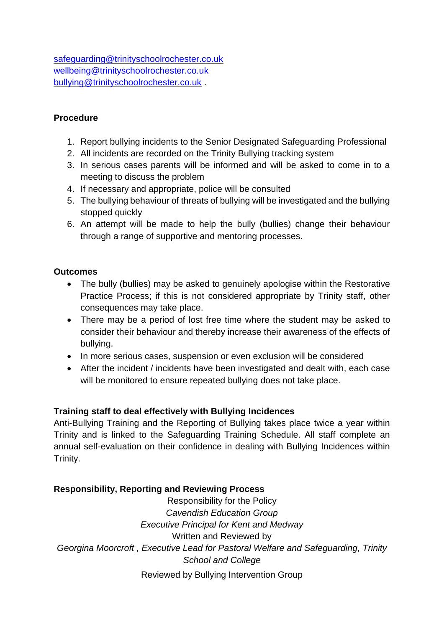[safeguarding@trinityschoolrochester.co.uk](mailto:safeguarding@trinityschoolrochester.co.uk) [wellbeing@trinityschoolrochester.co.uk](mailto:wellbeing@trinityschoolrochester.co.uk) [bullying@trinityschoolrochester.co.uk](mailto:bullying@trinityschoolrochester.co.uk) .

## **Procedure**

- 1. Report bullying incidents to the Senior Designated Safeguarding Professional
- 2. All incidents are recorded on the Trinity Bullying tracking system
- 3. In serious cases parents will be informed and will be asked to come in to a meeting to discuss the problem
- 4. If necessary and appropriate, police will be consulted
- 5. The bullying behaviour of threats of bullying will be investigated and the bullying stopped quickly
- 6. An attempt will be made to help the bully (bullies) change their behaviour through a range of supportive and mentoring processes.

## **Outcomes**

- The bully (bullies) may be asked to genuinely apologise within the Restorative Practice Process; if this is not considered appropriate by Trinity staff, other consequences may take place.
- There may be a period of lost free time where the student may be asked to consider their behaviour and thereby increase their awareness of the effects of bullying.
- In more serious cases, suspension or even exclusion will be considered
- After the incident / incidents have been investigated and dealt with, each case will be monitored to ensure repeated bullying does not take place.

# **Training staff to deal effectively with Bullying Incidences**

Anti-Bullying Training and the Reporting of Bullying takes place twice a year within Trinity and is linked to the Safeguarding Training Schedule. All staff complete an annual self-evaluation on their confidence in dealing with Bullying Incidences within Trinity.

# **Responsibility, Reporting and Reviewing Process**

Responsibility for the Policy *Cavendish Education Group Executive Principal for Kent and Medway* Written and Reviewed by *Georgina Moorcroft , Executive Lead for Pastoral Welfare and Safeguarding, Trinity School and College* Reviewed by Bullying Intervention Group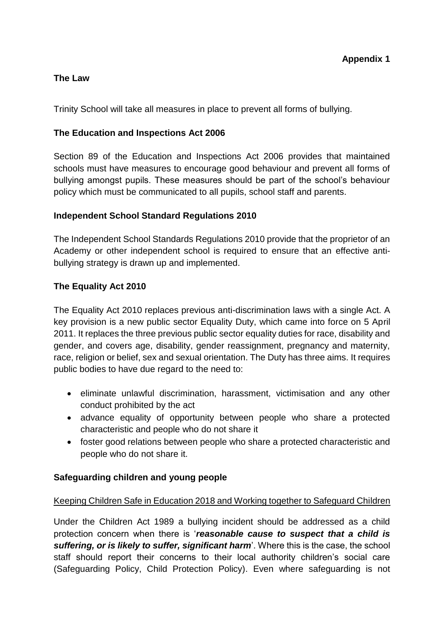## **The Law**

Trinity School will take all measures in place to prevent all forms of bullying.

## **The Education and Inspections Act 2006**

Section 89 of the Education and Inspections Act 2006 provides that maintained schools must have measures to encourage good behaviour and prevent all forms of bullying amongst pupils. These measures should be part of the school's behaviour policy which must be communicated to all pupils, school staff and parents.

## **Independent School Standard Regulations 2010**

The Independent School Standards Regulations 2010 provide that the proprietor of an Academy or other independent school is required to ensure that an effective antibullying strategy is drawn up and implemented.

## **The Equality Act 2010**

The Equality Act 2010 replaces previous anti-discrimination laws with a single Act. A key provision is a new public sector Equality Duty, which came into force on 5 April 2011. It replaces the three previous public sector equality duties for race, disability and gender, and covers age, disability, gender reassignment, pregnancy and maternity, race, religion or belief, sex and sexual orientation. The Duty has three aims. It requires public bodies to have due regard to the need to:

- eliminate unlawful discrimination, harassment, victimisation and any other conduct prohibited by the act
- advance equality of opportunity between people who share a protected characteristic and people who do not share it
- foster good relations between people who share a protected characteristic and people who do not share it.

## **Safeguarding children and young people**

## Keeping Children Safe in Education 2018 and Working together to Safeguard Children

Under the Children Act 1989 a bullying incident should be addressed as a child protection concern when there is '*reasonable cause to suspect that a child is suffering, or is likely to suffer, significant harm*'. Where this is the case, the school staff should report their concerns to their local authority children's social care (Safeguarding Policy, Child Protection Policy). Even where safeguarding is not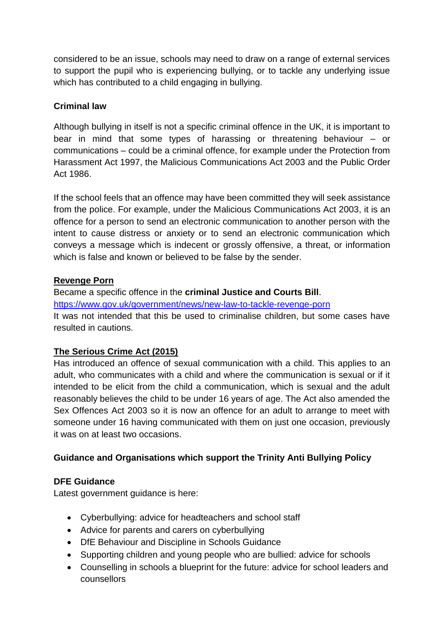considered to be an issue, schools may need to draw on a range of external services to support the pupil who is experiencing bullying, or to tackle any underlying issue which has contributed to a child engaging in bullying.

## **Criminal law**

Although bullying in itself is not a specific criminal offence in the UK, it is important to bear in mind that some types of harassing or threatening behaviour – or communications – could be a criminal offence, for example under the Protection from Harassment Act 1997, the Malicious Communications Act 2003 and the Public Order Act 1986.

If the school feels that an offence may have been committed they will seek assistance from the police. For example, under the Malicious Communications Act 2003, it is an offence for a person to send an electronic communication to another person with the intent to cause distress or anxiety or to send an electronic communication which conveys a message which is indecent or grossly offensive, a threat, or information which is false and known or believed to be false by the sender.

## **Revenge Porn**

Became a specific offence in the **criminal Justice and Courts Bill**. <https://www.gov.uk/government/news/new-law-to-tackle-revenge-porn> It was not intended that this be used to criminalise children, but some cases have resulted in cautions.

# **The Serious Crime Act (2015)**

Has introduced an offence of sexual communication with a child. This applies to an adult, who communicates with a child and where the communication is sexual or if it intended to be elicit from the child a communication, which is sexual and the adult reasonably believes the child to be under 16 years of age. The Act also amended the Sex Offences Act 2003 so it is now an offence for an adult to arrange to meet with someone under 16 having communicated with them on just one occasion, previously it was on at least two occasions.

# **Guidance and Organisations which support the Trinity Anti Bullying Policy**

# **DFE Guidance**

Latest government guidance is here:

- Cyberbullying: advice for headteachers and school staff
- Advice for parents and carers on cyberbullying
- DfE Behaviour and Discipline in Schools Guidance
- Supporting children and young people who are bullied: advice for schools
- Counselling in schools a blueprint for the future: advice for school leaders and counsellors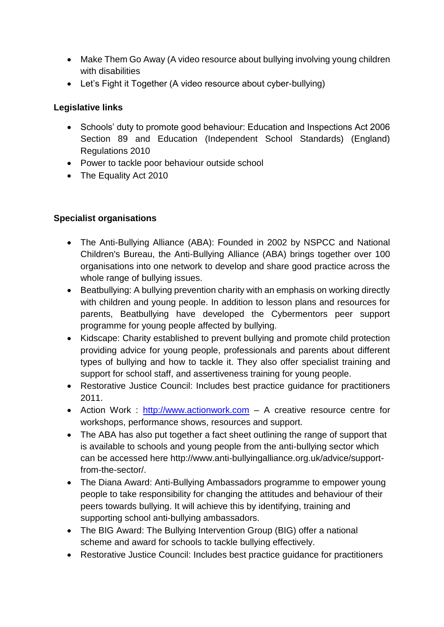- Make Them Go Away (A video resource about bullying involving young children with disabilities
- Let's Fight it Together (A video resource about cyber-bullying)

# **Legislative links**

- Schools' duty to promote good behaviour: Education and Inspections Act 2006 Section 89 and Education (Independent School Standards) (England) Regulations 2010
- Power to tackle poor behaviour outside school
- The Equality Act 2010

# **Specialist organisations**

- The Anti-Bullying Alliance (ABA): Founded in 2002 by NSPCC and National Children's Bureau, the Anti-Bullying Alliance (ABA) brings together over 100 organisations into one network to develop and share good practice across the whole range of bullying issues.
- Beatbullying: A bullying prevention charity with an emphasis on working directly with children and young people. In addition to lesson plans and resources for parents, Beatbullying have developed the Cybermentors peer support programme for young people affected by bullying.
- Kidscape: Charity established to prevent bullying and promote child protection providing advice for young people, professionals and parents about different types of bullying and how to tackle it. They also offer specialist training and support for school staff, and assertiveness training for young people.
- Restorative Justice Council: Includes best practice guidance for practitioners 2011.
- Action Work : [http://www.actionwork.com](http://www.actionwork.com/) A creative resource centre for workshops, performance shows, resources and support.
- The ABA has also put together a fact sheet outlining the range of support that is available to schools and young people from the anti-bullying sector which can be accessed here http://www.anti-bullyingalliance.org.uk/advice/supportfrom-the-sector/.
- The Diana Award: Anti-Bullying Ambassadors programme to empower young people to take responsibility for changing the attitudes and behaviour of their peers towards bullying. It will achieve this by identifying, training and supporting school anti-bullying ambassadors.
- The BIG Award: The Bullying Intervention Group (BIG) offer a national scheme and award for schools to tackle bullying effectively.
- Restorative Justice Council: Includes best practice guidance for practitioners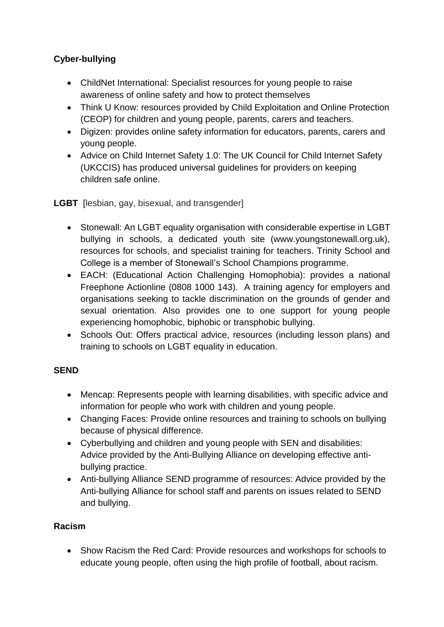# **Cyber-bullying**

- ChildNet International: Specialist resources for young people to raise awareness of online safety and how to protect themselves
- Think U Know: resources provided by Child Exploitation and Online Protection (CEOP) for children and young people, parents, carers and teachers.
- Digizen: provides online safety information for educators, parents, carers and young people.
- Advice on Child Internet Safety 1.0: The UK Council for Child Internet Safety (UKCCIS) has produced universal guidelines for providers on keeping children safe online.

**LGBT** [lesbian, gay, bisexual, and transgender]

- Stonewall: An LGBT equality organisation with considerable expertise in LGBT bullying in schools, a dedicated youth site (www.youngstonewall.org.uk), resources for schools, and specialist training for teachers. Trinity School and College is a member of Stonewall's School Champions programme.
- EACH: (Educational Action Challenging Homophobia): provides a national Freephone Actionline (0808 1000 143). A training agency for employers and organisations seeking to tackle discrimination on the grounds of gender and sexual orientation. Also provides one to one support for young people experiencing homophobic, biphobic or transphobic bullying.
- Schools Out: Offers practical advice, resources (including lesson plans) and training to schools on LGBT equality in education.

# **SEND**

- Mencap: Represents people with learning disabilities, with specific advice and information for people who work with children and young people.
- Changing Faces: Provide online resources and training to schools on bullying because of physical difference.
- Cyberbullying and children and young people with SEN and disabilities: Advice provided by the Anti-Bullying Alliance on developing effective antibullying practice.
- Anti-bullying Alliance SEND programme of resources: Advice provided by the Anti-bullying Alliance for school staff and parents on issues related to SEND and bullying.

# **Racism**

• Show Racism the Red Card: Provide resources and workshops for schools to educate young people, often using the high profile of football, about racism.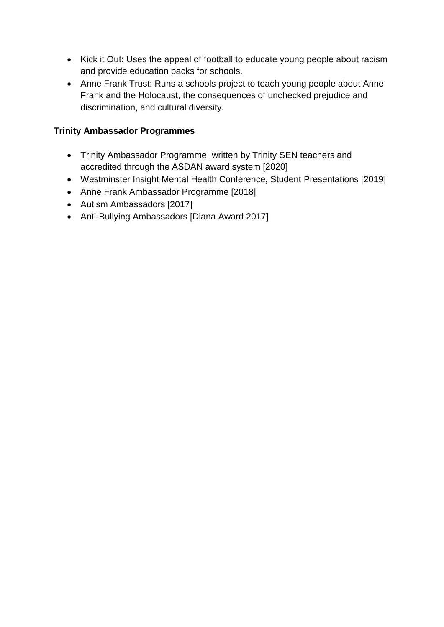- Kick it Out: Uses the appeal of football to educate young people about racism and provide education packs for schools.
- Anne Frank Trust: Runs a schools project to teach young people about Anne Frank and the Holocaust, the consequences of unchecked prejudice and discrimination, and cultural diversity.

## **Trinity Ambassador Programmes**

- Trinity Ambassador Programme, written by Trinity SEN teachers and accredited through the ASDAN award system [2020]
- Westminster Insight Mental Health Conference, Student Presentations [2019]
- Anne Frank Ambassador Programme [2018]
- Autism Ambassadors [2017]
- Anti-Bullying Ambassadors [Diana Award 2017]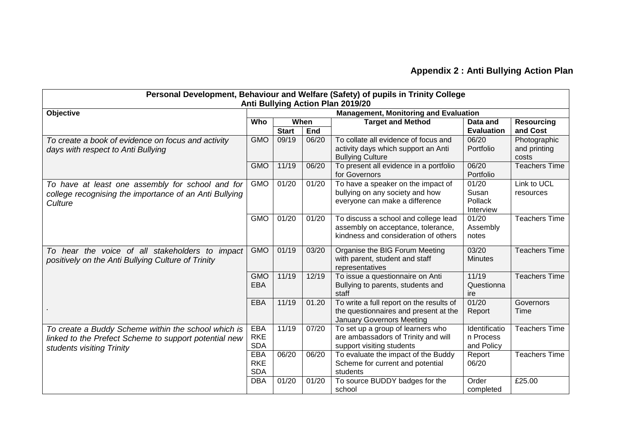| Personal Development, Behaviour and Welfare (Safety) of pupils in Trinity College<br>Anti Bullying Action Plan 2019/20                    |                                              |              |            |                                                                                                                       |                                          |                                       |  |  |  |  |  |
|-------------------------------------------------------------------------------------------------------------------------------------------|----------------------------------------------|--------------|------------|-----------------------------------------------------------------------------------------------------------------------|------------------------------------------|---------------------------------------|--|--|--|--|--|
| Objective                                                                                                                                 | <b>Management, Monitoring and Evaluation</b> |              |            |                                                                                                                       |                                          |                                       |  |  |  |  |  |
|                                                                                                                                           | Who                                          | When         |            | <b>Target and Method</b>                                                                                              | Data and                                 | <b>Resourcing</b>                     |  |  |  |  |  |
|                                                                                                                                           |                                              | <b>Start</b> | <b>End</b> |                                                                                                                       | <b>Evaluation</b>                        | and Cost                              |  |  |  |  |  |
| To create a book of evidence on focus and activity<br>days with respect to Anti Bullying                                                  | <b>GMO</b>                                   | 09/19        | 06/20      | To collate all evidence of focus and<br>activity days which support an Anti<br><b>Bullying Culture</b>                | 06/20<br>Portfolio                       | Photographic<br>and printing<br>costs |  |  |  |  |  |
|                                                                                                                                           | <b>GMO</b>                                   | 11/19        | 06/20      | To present all evidence in a portfolio<br>for Governors                                                               | 06/20<br>Portfolio                       | <b>Teachers Time</b>                  |  |  |  |  |  |
| To have at least one assembly for school and for<br>college recognising the importance of an Anti Bullying<br>Culture                     | <b>GMO</b>                                   | 01/20        | 01/20      | To have a speaker on the impact of<br>bullying on any society and how<br>everyone can make a difference               | 01/20<br>Susan<br>Pollack<br>Interview   | Link to UCL<br>resources              |  |  |  |  |  |
|                                                                                                                                           | <b>GMO</b>                                   | 01/20        | 01/20      | To discuss a school and college lead<br>assembly on acceptance, tolerance,<br>kindness and consideration of others    | 01/20<br>Assembly<br>notes               | <b>Teachers Time</b>                  |  |  |  |  |  |
| To hear the voice of all stakeholders to impact<br>positively on the Anti Bullying Culture of Trinity                                     | <b>GMO</b>                                   | 01/19        | 03/20      | Organise the BIG Forum Meeting<br>with parent, student and staff<br>representatives                                   | 03/20<br><b>Minutes</b>                  | <b>Teachers Time</b>                  |  |  |  |  |  |
|                                                                                                                                           | <b>GMO</b><br><b>EBA</b>                     | 11/19        | 12/19      | To issue a questionnaire on Anti<br>Bullying to parents, students and<br>staff                                        | 11/19<br>Questionna<br>ire               | <b>Teachers Time</b>                  |  |  |  |  |  |
|                                                                                                                                           | <b>EBA</b>                                   | 11/19        | 01.20      | To write a full report on the results of<br>the questionnaires and present at the<br><b>January Governors Meeting</b> | 01/20<br>Report                          | Governors<br>Time                     |  |  |  |  |  |
| To create a Buddy Scheme within the school which is<br>linked to the Prefect Scheme to support potential new<br>students visiting Trinity | <b>EBA</b><br><b>RKE</b><br><b>SDA</b>       | 11/19        | 07/20      | To set up a group of learners who<br>are ambassadors of Trinity and will<br>support visiting students                 | Identificatio<br>n Process<br>and Policy | <b>Teachers Time</b>                  |  |  |  |  |  |
|                                                                                                                                           | <b>EBA</b><br><b>RKE</b><br><b>SDA</b>       | 06/20        | 06/20      | To evaluate the impact of the Buddy<br>Scheme for current and potential<br>students                                   | Report<br>06/20                          | <b>Teachers Time</b>                  |  |  |  |  |  |
|                                                                                                                                           | <b>DBA</b>                                   | 01/20        | 01/20      | To source BUDDY badges for the<br>school                                                                              | Order<br>completed                       | £25.00                                |  |  |  |  |  |